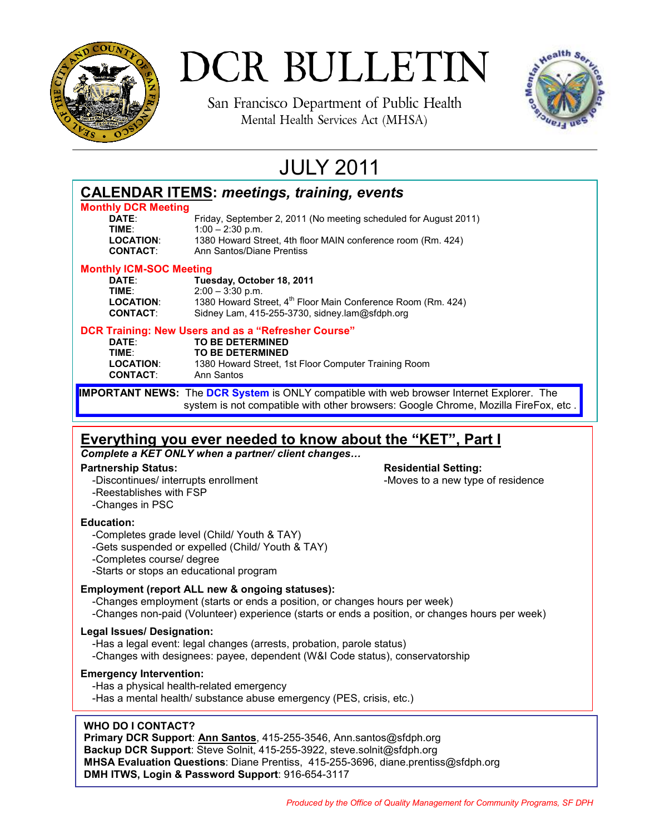

# DCR BULLETIN

San Francisco Department of Public Health Mental Health Services Act (MHSA)



### JULY 2011

|                                                                                                  | <b>CALENDAR ITEMS: meetings, training, events</b>                                  |
|--------------------------------------------------------------------------------------------------|------------------------------------------------------------------------------------|
| <b>Monthly DCR Meeting</b>                                                                       |                                                                                    |
| DATE:                                                                                            | Friday, September 2, 2011 (No meeting scheduled for August 2011)                   |
| TIME:                                                                                            | $1:00 - 2:30$ p.m.                                                                 |
| <b>LOCATION:</b>                                                                                 | 1380 Howard Street, 4th floor MAIN conference room (Rm. 424)                       |
| <b>CONTACT:</b>                                                                                  | Ann Santos/Diane Prentiss                                                          |
| <b>Monthly ICM-SOC Meeting</b>                                                                   |                                                                                    |
| DATE:                                                                                            | Tuesday, October 18, 2011                                                          |
| TIME:                                                                                            | $2:00 - 3:30$ p.m.                                                                 |
| <b>LOCATION:</b>                                                                                 | 1380 Howard Street, 4 <sup>th</sup> Floor Main Conference Room (Rm. 424)           |
| <b>CONTACT:</b>                                                                                  | Sidney Lam, 415-255-3730, sidney.lam@sfdph.org                                     |
| DCR Training: New Users and as a "Refresher Course"                                              |                                                                                    |
| DATE:                                                                                            | <b>TO BE DETERMINED</b>                                                            |
| TIME:                                                                                            | <b>TO BE DETERMINED</b>                                                            |
| <b>LOCATION:</b>                                                                                 | 1380 Howard Street, 1st Floor Computer Training Room                               |
| <b>CONTACT:</b>                                                                                  | Ann Santos                                                                         |
| <b>IMPORTANT NEWS:</b> The DCR System is ONLY compatible with web browser Internet Explorer. The |                                                                                    |
|                                                                                                  | system is not compatible with other browsers: Google Chrome, Mozilla FireFox, etc. |

### **Everything you ever needed to know about the "KET", Part I**

*Complete a KET ONLY when a partner/ client changes…*

### **Partnership Status: Residential Setting: Residential Setting:**

- -Discontinues/ interrupts enrollment The state of a new type of residence -Reestablishes with FSP
- -Changes in PSC

### **Education:**

- -Completes grade level (Child/ Youth & TAY)
- -Gets suspended or expelled (Child/ Youth & TAY)
- -Completes course/ degree

-Starts or stops an educational program

### **Employment (report ALL new & ongoing statuses):**

-Changes employment (starts or ends a position, or changes hours per week)

-Changes non-paid (Volunteer) experience (starts or ends a position, or changes hours per week)

### **Legal Issues/ Designation:**

-Has a legal event: legal changes (arrests, probation, parole status)

-Changes with designees: payee, dependent (W&I Code status), conservatorship

### **Emergency Intervention:**

-Has a physical health-related emergency

-Has a mental health/ substance abuse emergency (PES, crisis, etc.)

### **WHO DO I CONTACT?**

**Primary DCR Support**: **Ann Santos**, 415-255-3546, Ann.santos@sfdph.org **Backup DCR Support**: Steve Solnit, 415-255-3922, steve.solnit@sfdph.org **MHSA Evaluation Questions**: Diane Prentiss, 415-255-3696, diane.prentiss@sfdph.org **DMH ITWS, Login & Password Support**: 916-654-3117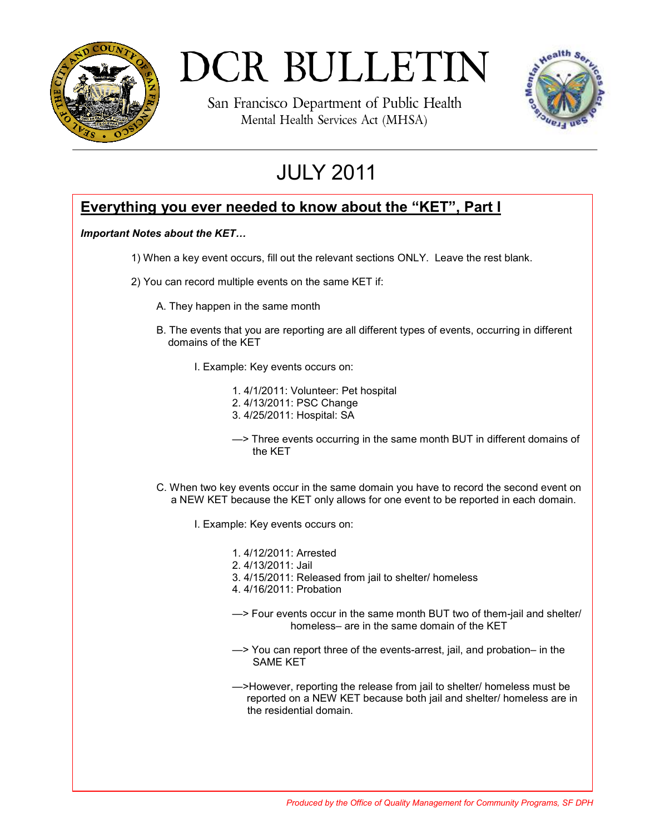

# DCR BULLETIN

San Francisco Department of Public Health Mental Health Services Act (MHSA)



## JULY 2011

### **Everything you ever needed to know about the "KET", Part I**

### *Important Notes about the KET…*

- 1) When a key event occurs, fill out the relevant sections ONLY. Leave the rest blank.
- 2) You can record multiple events on the same KET if:
	- A. They happen in the same month
	- B. The events that you are reporting are all different types of events, occurring in different domains of the KET
		- I. Example: Key events occurs on:
			- 1. 4/1/2011: Volunteer: Pet hospital 2. 4/13/2011: PSC Change 3. 4/25/2011: Hospital: SA
			- —> Three events occurring in the same month BUT in different domains of the KET
	- C. When two key events occur in the same domain you have to record the second event on a NEW KET because the KET only allows for one event to be reported in each domain.
		- I. Example: Key events occurs on:
			- 1. 4/12/2011: Arrested
			- 2. 4/13/2011: Jail
			- 3. 4/15/2011: Released from jail to shelter/ homeless
			- 4. 4/16/2011: Probation
			- —> Four events occur in the same month BUT two of them-jail and shelter/ homeless– are in the same domain of the KET
			- —> You can report three of the events-arrest, jail, and probation– in the SAME KET
			- —>However, reporting the release from jail to shelter/ homeless must be reported on a NEW KET because both jail and shelter/ homeless are in the residential domain.